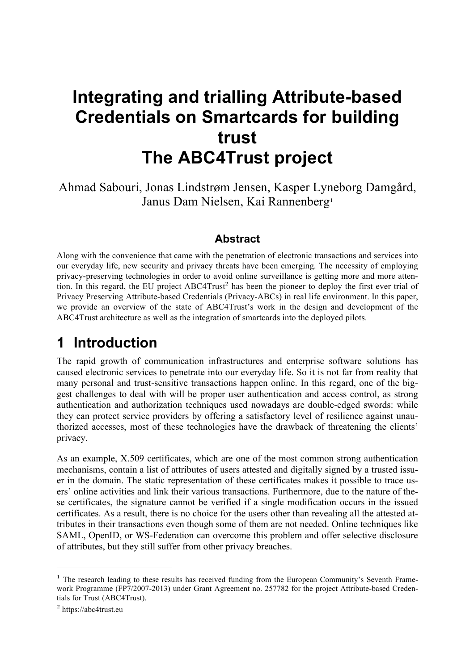# **Integrating and trialling Attribute-based Credentials on Smartcards for building trust The ABC4Trust project**

Ahmad Sabouri, Jonas Lindstrøm Jensen, Kasper Lyneborg Damgård, Janus Dam Nielsen, Kai Rannenberg<sup>1</sup>

### **Abstract**

Along with the convenience that came with the penetration of electronic transactions and services into our everyday life, new security and privacy threats have been emerging. The necessity of employing privacy-preserving technologies in order to avoid online surveillance is getting more and more attention. In this regard, the EU project ABC4Trust<sup>2</sup> has been the pioneer to deploy the first ever trial of Privacy Preserving Attribute-based Credentials (Privacy-ABCs) in real life environment. In this paper, we provide an overview of the state of ABC4Trust's work in the design and development of the ABC4Trust architecture as well as the integration of smartcards into the deployed pilots.

# **1 Introduction**

The rapid growth of communication infrastructures and enterprise software solutions has caused electronic services to penetrate into our everyday life. So it is not far from reality that many personal and trust-sensitive transactions happen online. In this regard, one of the biggest challenges to deal with will be proper user authentication and access control, as strong authentication and authorization techniques used nowadays are double-edged swords: while they can protect service providers by offering a satisfactory level of resilience against unauthorized accesses, most of these technologies have the drawback of threatening the clients' privacy.

As an example, X.509 certificates, which are one of the most common strong authentication mechanisms, contain a list of attributes of users attested and digitally signed by a trusted issuer in the domain. The static representation of these certificates makes it possible to trace users' online activities and link their various transactions. Furthermore, due to the nature of these certificates, the signature cannot be verified if a single modification occurs in the issued certificates. As a result, there is no choice for the users other than revealing all the attested attributes in their transactions even though some of them are not needed. Online techniques like SAML, OpenID, or WS-Federation can overcome this problem and offer selective disclosure of attributes, but they still suffer from other privacy breaches.

<sup>&</sup>lt;sup>1</sup> The research leading to these results has received funding from the European Community's Seventh Framework Programme (FP7/2007-2013) under Grant Agreement no. 257782 for the project Attribute-based Credentials for Trust (ABC4Trust).

<sup>2</sup> https://abc4trust.eu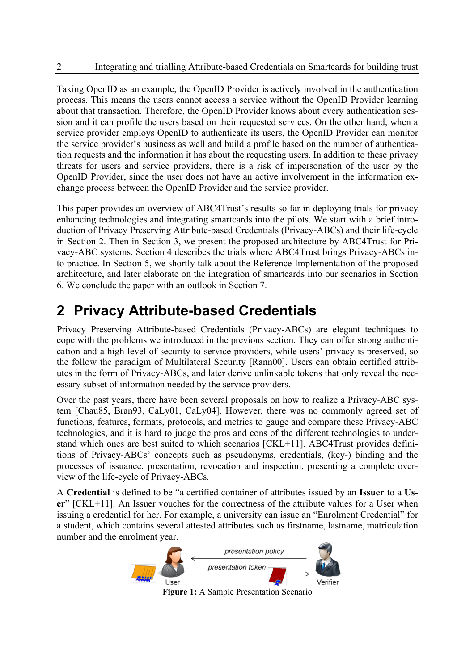Taking OpenID as an example, the OpenID Provider is actively involved in the authentication process. This means the users cannot access a service without the OpenID Provider learning about that transaction. Therefore, the OpenID Provider knows about every authentication session and it can profile the users based on their requested services. On the other hand, when a service provider employs OpenID to authenticate its users, the OpenID Provider can monitor the service provider's business as well and build a profile based on the number of authentication requests and the information it has about the requesting users. In addition to these privacy threats for users and service providers, there is a risk of impersonation of the user by the OpenID Provider, since the user does not have an active involvement in the information exchange process between the OpenID Provider and the service provider.

This paper provides an overview of ABC4Trust's results so far in deploying trials for privacy enhancing technologies and integrating smartcards into the pilots. We start with a brief introduction of Privacy Preserving Attribute-based Credentials (Privacy-ABCs) and their life-cycle in Section 2. Then in Section 3, we present the proposed architecture by ABC4Trust for Privacy-ABC systems. Section 4 describes the trials where ABC4Trust brings Privacy-ABCs into practice. In Section 5, we shortly talk about the Reference Implementation of the proposed architecture, and later elaborate on the integration of smartcards into our scenarios in Section 6. We conclude the paper with an outlook in Section 7.

# **2 Privacy Attribute-based Credentials**

Privacy Preserving Attribute-based Credentials (Privacy-ABCs) are elegant techniques to cope with the problems we introduced in the previous section. They can offer strong authentication and a high level of security to service providers, while users' privacy is preserved, so the follow the paradigm of Multilateral Security [Rann00]. Users can obtain certified attributes in the form of Privacy-ABCs, and later derive unlinkable tokens that only reveal the necessary subset of information needed by the service providers.

Over the past years, there have been several proposals on how to realize a Privacy-ABC system [Chau85, Bran93, CaLy01, CaLy04]. However, there was no commonly agreed set of functions, features, formats, protocols, and metrics to gauge and compare these Privacy-ABC technologies, and it is hard to judge the pros and cons of the different technologies to understand which ones are best suited to which scenarios [CKL+11]. ABC4Trust provides definitions of Privacy-ABCs' concepts such as pseudonyms, credentials, (key-) binding and the processes of issuance, presentation, revocation and inspection, presenting a complete overview of the life-cycle of Privacy-ABCs.

A **Credential** is defined to be "a certified container of attributes issued by an **Issuer** to a **User**" [CKL+11]. An Issuer vouches for the correctness of the attribute values for a User when issuing a credential for her. For example, a university can issue an "Enrolment Credential" for a student, which contains several attested attributes such as firstname, lastname, matriculation number and the enrolment year.



**Figure 1:** A Sample Presentation Scenario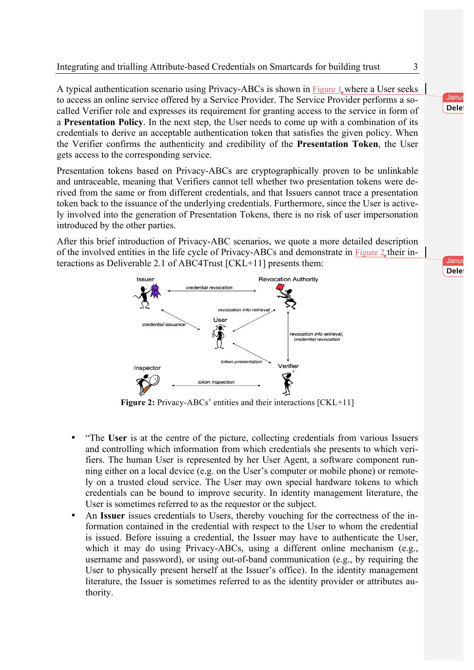A typical authentication scenario using Privacy-ABCs is shown in Figure 1 where a User seeks to access an online service offered by a Service Provider. The Service Provider performs a socalled Verifier role and expresses its requirement for granting access to the service in form of a **Presentation Policy**. In the next step, the User needs to come up with a combination of its credentials to derive an acceptable authentication token that satisfies the given policy. When the Verifier confirms the authenticity and credibility of the **Presentation Token**, the User gets access to the corresponding service.

Presentation tokens based on Privacy-ABCs are cryptographically proven to be unlinkable and untraceable, meaning that Verifiers cannot tell whether two presentation tokens were derived from the same or from different credentials, and that Issuers cannot trace a presentation token back to the issuance of the underlying credentials. Furthermore, since the User is actively involved into the generation of Presentation Tokens, there is no risk of user impersonation introduced by the other parties.

After this brief introduction of Privacy-ABC scenarios, we quote a more detailed description of the involved entities in the life cycle of Privacy-ABCs and demonstrate in Figure 2 their interactions as Deliverable 2.1 of ABC4Trust [CKL+11] presents them:



**Figure 2:** Privacy-ABCs' entities and their interactions [CKL+11]

- "The **User** is at the centre of the picture, collecting credentials from various Issuers and controlling which information from which credentials she presents to which verifiers. The human User is represented by her User Agent, a software component running either on a local device (e.g. on the User's computer or mobile phone) or remotely on a trusted cloud service. The User may own special hardware tokens to which credentials can be bound to improve security. In identity management literature, the User is sometimes referred to as the requestor or the subject.
- An **Issuer** issues credentials to Users, thereby vouching for the correctness of the information contained in the credential with respect to the User to whom the credential is issued. Before issuing a credential, the Issuer may have to authenticate the User, which it may do using Privacy-ABCs, using a different online mechanism (e.g., username and password), or using out-of-band communication (e.g., by requiring the User to physically present herself at the Issuer's office). In the identity management literature, the Issuer is sometimes referred to as the identity provider or attributes authority.

Janus **Delet** 

Janus **Delet**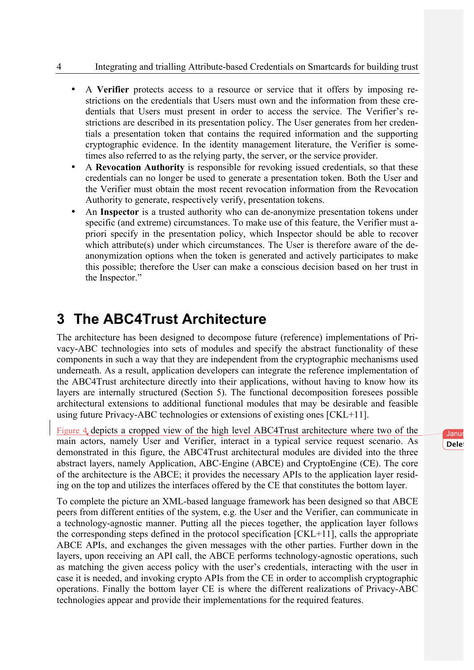- A **Verifier** protects access to a resource or service that it offers by imposing restrictions on the credentials that Users must own and the information from these credentials that Users must present in order to access the service. The Verifier's restrictions are described in its presentation policy. The User generates from her credentials a presentation token that contains the required information and the supporting cryptographic evidence. In the identity management literature, the Verifier is sometimes also referred to as the relying party, the server, or the service provider.
- A **Revocation Authority** is responsible for revoking issued credentials, so that these credentials can no longer be used to generate a presentation token. Both the User and the Verifier must obtain the most recent revocation information from the Revocation Authority to generate, respectively verify, presentation tokens.
- An **Inspector** is a trusted authority who can de-anonymize presentation tokens under specific (and extreme) circumstances. To make use of this feature, the Verifier must apriori specify in the presentation policy, which Inspector should be able to recover which attribute(s) under which circumstances. The User is therefore aware of the deanonymization options when the token is generated and actively participates to make this possible; therefore the User can make a conscious decision based on her trust in the Inspector."

# **3 The ABC4Trust Architecture**

The architecture has been designed to decompose future (reference) implementations of Privacy-ABC technologies into sets of modules and specify the abstract functionality of these components in such a way that they are independent from the cryptographic mechanisms used underneath. As a result, application developers can integrate the reference implementation of the ABC4Trust architecture directly into their applications, without having to know how its layers are internally structured (Section 5). The functional decomposition foresees possible architectural extensions to additional functional modules that may be desirable and feasible using future Privacy-ABC technologies or extensions of existing ones [CKL+11].

Figure 4 depicts a cropped view of the high level ABC4Trust architecture where two of the main actors, namely User and Verifier, interact in a typical service request scenario. As demonstrated in this figure, the ABC4Trust architectural modules are divided into the three abstract layers, namely Application, ABC-Engine (ABCE) and CryptoEngine (CE). The core of the architecture is the ABCE; it provides the necessary APIs to the application layer residing on the top and utilizes the interfaces offered by the CE that constitutes the bottom layer.

To complete the picture an XML-based language framework has been designed so that ABCE peers from different entities of the system, e.g. the User and the Verifier, can communicate in a technology-agnostic manner. Putting all the pieces together, the application layer follows the corresponding steps defined in the protocol specification [CKL+11], calls the appropriate ABCE APIs, and exchanges the given messages with the other parties. Further down in the layers, upon receiving an API call, the ABCE performs technology-agnostic operations, such as matching the given access policy with the user's credentials, interacting with the user in case it is needed, and invoking crypto APIs from the CE in order to accomplish cryptographic operations. Finally the bottom layer CE is where the different realizations of Privacy-ABC technologies appear and provide their implementations for the required features.

Janus **Delet**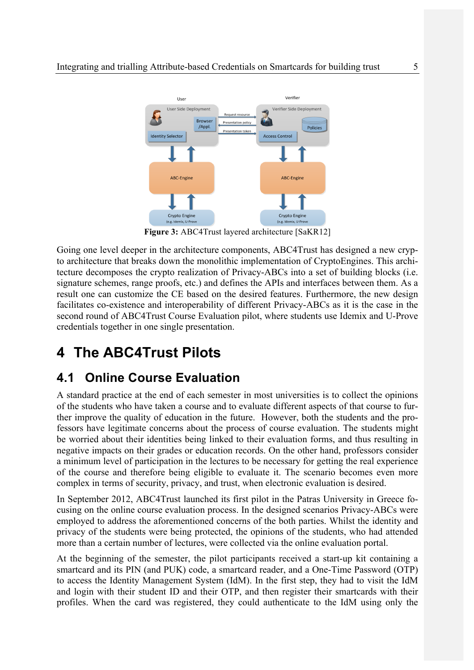

**Figure 3:** ABC4Trust layered architecture [SaKR12]

Going one level deeper in the architecture components, ABC4Trust has designed a new crypto architecture that breaks down the monolithic implementation of CryptoEngines. This architecture decomposes the crypto realization of Privacy-ABCs into a set of building blocks (i.e. signature schemes, range proofs, etc.) and defines the APIs and interfaces between them. As a result one can customize the CE based on the desired features. Furthermore, the new design facilitates co-existence and interoperability of different Privacy-ABCs as it is the case in the second round of ABC4Trust Course Evaluation pilot, where students use Idemix and U-Prove credentials together in one single presentation.

# **4 The ABC4Trust Pilots**

## **4.1 Online Course Evaluation**

A standard practice at the end of each semester in most universities is to collect the opinions of the students who have taken a course and to evaluate different aspects of that course to further improve the quality of education in the future. However, both the students and the professors have legitimate concerns about the process of course evaluation. The students might be worried about their identities being linked to their evaluation forms, and thus resulting in negative impacts on their grades or education records. On the other hand, professors consider a minimum level of participation in the lectures to be necessary for getting the real experience of the course and therefore being eligible to evaluate it. The scenario becomes even more complex in terms of security, privacy, and trust, when electronic evaluation is desired.

In September 2012, ABC4Trust launched its first pilot in the Patras University in Greece focusing on the online course evaluation process. In the designed scenarios Privacy-ABCs were employed to address the aforementioned concerns of the both parties. Whilst the identity and privacy of the students were being protected, the opinions of the students, who had attended more than a certain number of lectures, were collected via the online evaluation portal.

At the beginning of the semester, the pilot participants received a start-up kit containing a smartcard and its PIN (and PUK) code, a smartcard reader, and a One-Time Password (OTP) to access the Identity Management System (IdM). In the first step, they had to visit the IdM and login with their student ID and their OTP, and then register their smartcards with their profiles. When the card was registered, they could authenticate to the IdM using only the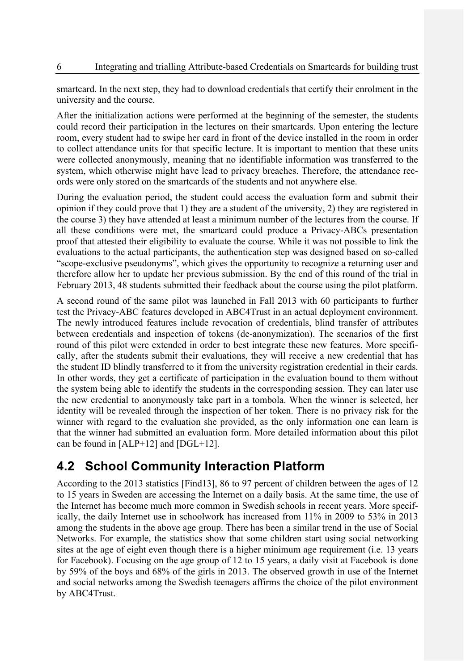smartcard. In the next step, they had to download credentials that certify their enrolment in the university and the course.

After the initialization actions were performed at the beginning of the semester, the students could record their participation in the lectures on their smartcards. Upon entering the lecture room, every student had to swipe her card in front of the device installed in the room in order to collect attendance units for that specific lecture. It is important to mention that these units were collected anonymously, meaning that no identifiable information was transferred to the system, which otherwise might have lead to privacy breaches. Therefore, the attendance records were only stored on the smartcards of the students and not anywhere else.

During the evaluation period, the student could access the evaluation form and submit their opinion if they could prove that 1) they are a student of the university, 2) they are registered in the course 3) they have attended at least a minimum number of the lectures from the course. If all these conditions were met, the smartcard could produce a Privacy-ABCs presentation proof that attested their eligibility to evaluate the course. While it was not possible to link the evaluations to the actual participants, the authentication step was designed based on so-called "scope-exclusive pseudonyms", which gives the opportunity to recognize a returning user and therefore allow her to update her previous submission. By the end of this round of the trial in February 2013, 48 students submitted their feedback about the course using the pilot platform.

A second round of the same pilot was launched in Fall 2013 with 60 participants to further test the Privacy-ABC features developed in ABC4Trust in an actual deployment environment. The newly introduced features include revocation of credentials, blind transfer of attributes between credentials and inspection of tokens (de-anonymization). The scenarios of the first round of this pilot were extended in order to best integrate these new features. More specifically, after the students submit their evaluations, they will receive a new credential that has the student ID blindly transferred to it from the university registration credential in their cards. In other words, they get a certificate of participation in the evaluation bound to them without the system being able to identify the students in the corresponding session. They can later use the new credential to anonymously take part in a tombola. When the winner is selected, her identity will be revealed through the inspection of her token. There is no privacy risk for the winner with regard to the evaluation she provided, as the only information one can learn is that the winner had submitted an evaluation form. More detailed information about this pilot can be found in [ALP+12] and [DGL+12].

## **4.2 School Community Interaction Platform**

According to the 2013 statistics [Find13], 86 to 97 percent of children between the ages of 12 to 15 years in Sweden are accessing the Internet on a daily basis. At the same time, the use of the Internet has become much more common in Swedish schools in recent years. More specifically, the daily Internet use in schoolwork has increased from 11% in 2009 to 53% in 2013 among the students in the above age group. There has been a similar trend in the use of Social Networks. For example, the statistics show that some children start using social networking sites at the age of eight even though there is a higher minimum age requirement (i.e. 13 years for Facebook). Focusing on the age group of 12 to 15 years, a daily visit at Facebook is done by 59% of the boys and 68% of the girls in 2013. The observed growth in use of the Internet and social networks among the Swedish teenagers affirms the choice of the pilot environment by ABC4Trust.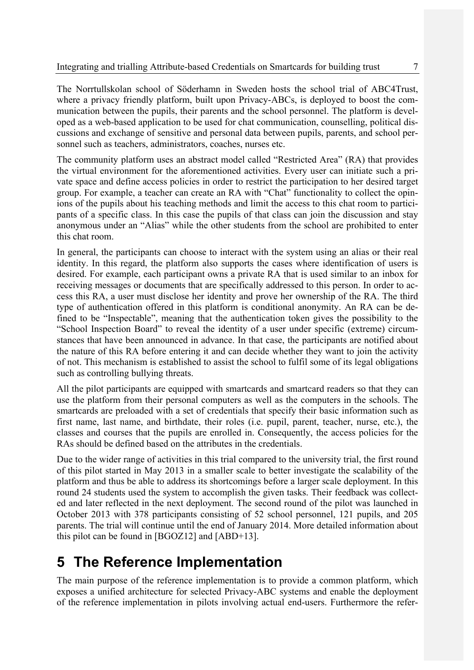The Norrtullskolan school of Söderhamn in Sweden hosts the school trial of ABC4Trust, where a privacy friendly platform, built upon Privacy-ABCs, is deployed to boost the communication between the pupils, their parents and the school personnel. The platform is developed as a web-based application to be used for chat communication, counselling, political discussions and exchange of sensitive and personal data between pupils, parents, and school personnel such as teachers, administrators, coaches, nurses etc.

The community platform uses an abstract model called "Restricted Area" (RA) that provides the virtual environment for the aforementioned activities. Every user can initiate such a private space and define access policies in order to restrict the participation to her desired target group. For example, a teacher can create an RA with "Chat" functionality to collect the opinions of the pupils about his teaching methods and limit the access to this chat room to participants of a specific class. In this case the pupils of that class can join the discussion and stay anonymous under an "Alias" while the other students from the school are prohibited to enter this chat room.

In general, the participants can choose to interact with the system using an alias or their real identity. In this regard, the platform also supports the cases where identification of users is desired. For example, each participant owns a private RA that is used similar to an inbox for receiving messages or documents that are specifically addressed to this person. In order to access this RA, a user must disclose her identity and prove her ownership of the RA. The third type of authentication offered in this platform is conditional anonymity. An RA can be defined to be "Inspectable", meaning that the authentication token gives the possibility to the "School Inspection Board" to reveal the identity of a user under specific (extreme) circumstances that have been announced in advance. In that case, the participants are notified about the nature of this RA before entering it and can decide whether they want to join the activity of not. This mechanism is established to assist the school to fulfil some of its legal obligations such as controlling bullying threats.

All the pilot participants are equipped with smartcards and smartcard readers so that they can use the platform from their personal computers as well as the computers in the schools. The smartcards are preloaded with a set of credentials that specify their basic information such as first name, last name, and birthdate, their roles (i.e. pupil, parent, teacher, nurse, etc.), the classes and courses that the pupils are enrolled in. Consequently, the access policies for the RAs should be defined based on the attributes in the credentials.

Due to the wider range of activities in this trial compared to the university trial, the first round of this pilot started in May 2013 in a smaller scale to better investigate the scalability of the platform and thus be able to address its shortcomings before a larger scale deployment. In this round 24 students used the system to accomplish the given tasks. Their feedback was collected and later reflected in the next deployment. The second round of the pilot was launched in October 2013 with 378 participants consisting of 52 school personnel, 121 pupils, and 205 parents. The trial will continue until the end of January 2014. More detailed information about this pilot can be found in [BGOZ12] and [ABD+13].

# **5 The Reference Implementation**

The main purpose of the reference implementation is to provide a common platform, which exposes a unified architecture for selected Privacy-ABC systems and enable the deployment of the reference implementation in pilots involving actual end-users. Furthermore the refer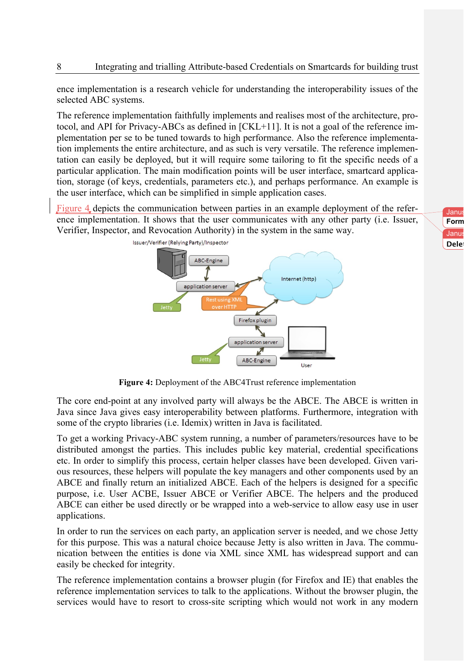ence implementation is a research vehicle for understanding the interoperability issues of the selected ABC systems.

The reference implementation faithfully implements and realises most of the architecture, protocol, and API for Privacy-ABCs as defined in [CKL+11]. It is not a goal of the reference implementation per se to be tuned towards to high performance. Also the reference implementation implements the entire architecture, and as such is very versatile. The reference implementation can easily be deployed, but it will require some tailoring to fit the specific needs of a particular application. The main modification points will be user interface, smartcard application, storage (of keys, credentials, parameters etc.), and perhaps performance. An example is the user interface, which can be simplified in simple application cases.

Figure 4 depicts the communication between parties in an example deployment of the reference implementation. It shows that the user communicates with any other party (i.e. Issuer, Verifier, Inspector, and Revocation Authority) in the system in the same way.



**Figure 4:** Deployment of the ABC4Trust reference implementation

The core end-point at any involved party will always be the ABCE. The ABCE is written in Java since Java gives easy interoperability between platforms. Furthermore, integration with some of the crypto libraries (i.e. Idemix) written in Java is facilitated.

To get a working Privacy-ABC system running, a number of parameters/resources have to be distributed amongst the parties. This includes public key material, credential specifications etc. In order to simplify this process, certain helper classes have been developed. Given various resources, these helpers will populate the key managers and other components used by an ABCE and finally return an initialized ABCE. Each of the helpers is designed for a specific purpose, i.e. User ACBE, Issuer ABCE or Verifier ABCE. The helpers and the produced ABCE can either be used directly or be wrapped into a web-service to allow easy use in user applications.

In order to run the services on each party, an application server is needed, and we chose Jetty for this purpose. This was a natural choice because Jetty is also written in Java. The communication between the entities is done via XML since XML has widespread support and can easily be checked for integrity.

The reference implementation contains a browser plugin (for Firefox and IE) that enables the reference implementation services to talk to the applications. Without the browser plugin, the services would have to resort to cross-site scripting which would not work in any modern

Janu **Form** Janu: **Delet**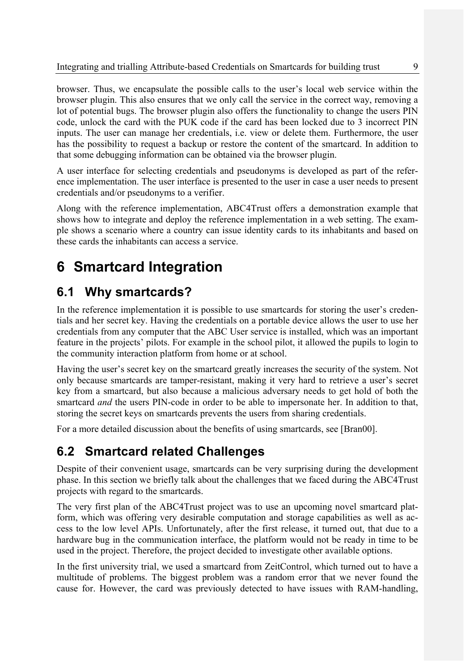browser. Thus, we encapsulate the possible calls to the user's local web service within the browser plugin. This also ensures that we only call the service in the correct way, removing a lot of potential bugs. The browser plugin also offers the functionality to change the users PIN code, unlock the card with the PUK code if the card has been locked due to 3 incorrect PIN inputs. The user can manage her credentials, i.e. view or delete them. Furthermore, the user has the possibility to request a backup or restore the content of the smartcard. In addition to that some debugging information can be obtained via the browser plugin.

A user interface for selecting credentials and pseudonyms is developed as part of the reference implementation. The user interface is presented to the user in case a user needs to present credentials and/or pseudonyms to a verifier.

Along with the reference implementation, ABC4Trust offers a demonstration example that shows how to integrate and deploy the reference implementation in a web setting. The example shows a scenario where a country can issue identity cards to its inhabitants and based on these cards the inhabitants can access a service.

# **6 Smartcard Integration**

## **6.1 Why smartcards?**

In the reference implementation it is possible to use smartcards for storing the user's credentials and her secret key. Having the credentials on a portable device allows the user to use her credentials from any computer that the ABC User service is installed, which was an important feature in the projects' pilots. For example in the school pilot, it allowed the pupils to login to the community interaction platform from home or at school.

Having the user's secret key on the smartcard greatly increases the security of the system. Not only because smartcards are tamper-resistant, making it very hard to retrieve a user's secret key from a smartcard, but also because a malicious adversary needs to get hold of both the smartcard *and* the users PIN-code in order to be able to impersonate her. In addition to that, storing the secret keys on smartcards prevents the users from sharing credentials.

For a more detailed discussion about the benefits of using smartcards, see [Bran00].

## **6.2 Smartcard related Challenges**

Despite of their convenient usage, smartcards can be very surprising during the development phase. In this section we briefly talk about the challenges that we faced during the ABC4Trust projects with regard to the smartcards.

The very first plan of the ABC4Trust project was to use an upcoming novel smartcard platform, which was offering very desirable computation and storage capabilities as well as access to the low level APIs. Unfortunately, after the first release, it turned out, that due to a hardware bug in the communication interface, the platform would not be ready in time to be used in the project. Therefore, the project decided to investigate other available options.

In the first university trial, we used a smartcard from ZeitControl, which turned out to have a multitude of problems. The biggest problem was a random error that we never found the cause for. However, the card was previously detected to have issues with RAM-handling,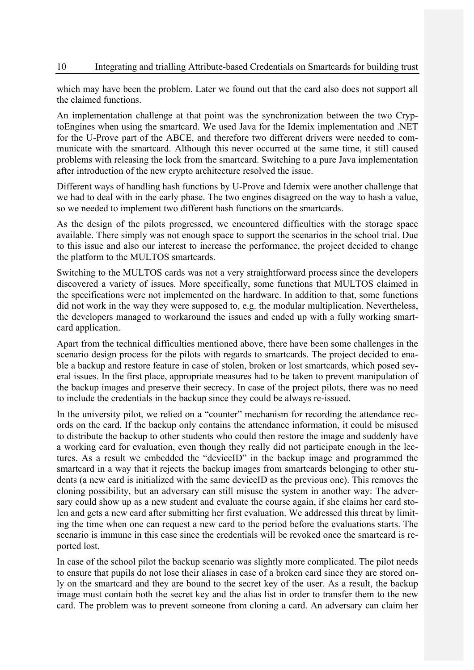which may have been the problem. Later we found out that the card also does not support all the claimed functions.

An implementation challenge at that point was the synchronization between the two CryptoEngines when using the smartcard. We used Java for the Idemix implementation and .NET for the U-Prove part of the ABCE, and therefore two different drivers were needed to communicate with the smartcard. Although this never occurred at the same time, it still caused problems with releasing the lock from the smartcard. Switching to a pure Java implementation after introduction of the new crypto architecture resolved the issue.

Different ways of handling hash functions by U-Prove and Idemix were another challenge that we had to deal with in the early phase. The two engines disagreed on the way to hash a value, so we needed to implement two different hash functions on the smartcards.

As the design of the pilots progressed, we encountered difficulties with the storage space available. There simply was not enough space to support the scenarios in the school trial. Due to this issue and also our interest to increase the performance, the project decided to change the platform to the MULTOS smartcards.

Switching to the MULTOS cards was not a very straightforward process since the developers discovered a variety of issues. More specifically, some functions that MULTOS claimed in the specifications were not implemented on the hardware. In addition to that, some functions did not work in the way they were supposed to, e.g. the modular multiplication. Nevertheless, the developers managed to workaround the issues and ended up with a fully working smartcard application.

Apart from the technical difficulties mentioned above, there have been some challenges in the scenario design process for the pilots with regards to smartcards. The project decided to enable a backup and restore feature in case of stolen, broken or lost smartcards, which posed several issues. In the first place, appropriate measures had to be taken to prevent manipulation of the backup images and preserve their secrecy. In case of the project pilots, there was no need to include the credentials in the backup since they could be always re-issued.

In the university pilot, we relied on a "counter" mechanism for recording the attendance records on the card. If the backup only contains the attendance information, it could be misused to distribute the backup to other students who could then restore the image and suddenly have a working card for evaluation, even though they really did not participate enough in the lectures. As a result we embedded the "deviceID" in the backup image and programmed the smartcard in a way that it rejects the backup images from smartcards belonging to other students (a new card is initialized with the same deviceID as the previous one). This removes the cloning possibility, but an adversary can still misuse the system in another way: The adversary could show up as a new student and evaluate the course again, if she claims her card stolen and gets a new card after submitting her first evaluation. We addressed this threat by limiting the time when one can request a new card to the period before the evaluations starts. The scenario is immune in this case since the credentials will be revoked once the smartcard is reported lost.

In case of the school pilot the backup scenario was slightly more complicated. The pilot needs to ensure that pupils do not lose their aliases in case of a broken card since they are stored only on the smartcard and they are bound to the secret key of the user. As a result, the backup image must contain both the secret key and the alias list in order to transfer them to the new card. The problem was to prevent someone from cloning a card. An adversary can claim her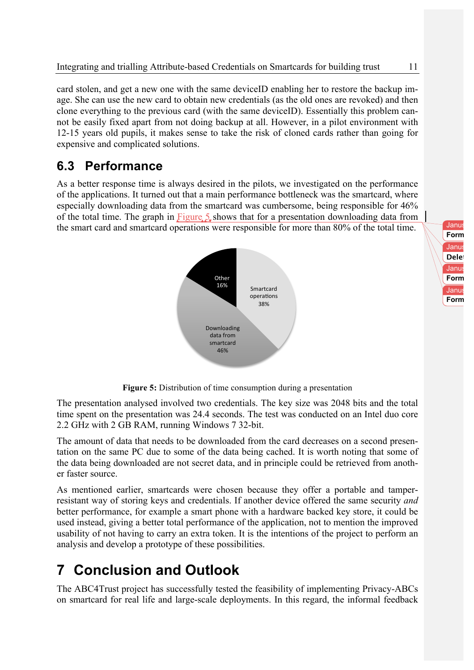card stolen, and get a new one with the same deviceID enabling her to restore the backup image. She can use the new card to obtain new credentials (as the old ones are revoked) and then clone everything to the previous card (with the same deviceID). Essentially this problem cannot be easily fixed apart from not doing backup at all. However, in a pilot environment with 12-15 years old pupils, it makes sense to take the risk of cloned cards rather than going for expensive and complicated solutions.

## **6.3 Performance**

As a better response time is always desired in the pilots, we investigated on the performance of the applications. It turned out that a main performance bottleneck was the smartcard, where especially downloading data from the smartcard was cumbersome, being responsible for 46% of the total time. The graph in Figure 5 shows that for a presentation downloading data from the smart card and smartcard operations were responsible for more than 80% of the total time.



Janu **Form** Janus Dam Nielsen 2008.<br>Dam Nie **Form** Janu **Form** Janu Delet

**Figure 5:** Distribution of time consumption during a presentation

The presentation analysed involved two credentials. The key size was 2048 bits and the total time spent on the presentation was 24.4 seconds. The test was conducted on an Intel duo core 2.2 GHz with 2 GB RAM, running Windows 7 32-bit.

The amount of data that needs to be downloaded from the card decreases on a second presentation on the same PC due to some of the data being cached. It is worth noting that some of the data being downloaded are not secret data, and in principle could be retrieved from another faster source.

As mentioned earlier, smartcards were chosen because they offer a portable and tamperresistant way of storing keys and credentials. If another device offered the same security *and* better performance, for example a smart phone with a hardware backed key store, it could be used instead, giving a better total performance of the application, not to mention the improved usability of not having to carry an extra token. It is the intentions of the project to perform an analysis and develop a prototype of these possibilities.

# **7 Conclusion and Outlook**

The ABC4Trust project has successfully tested the feasibility of implementing Privacy-ABCs on smartcard for real life and large-scale deployments. In this regard, the informal feedback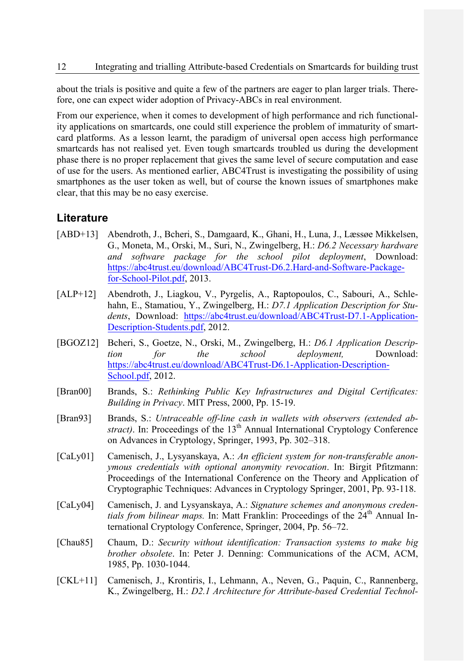about the trials is positive and quite a few of the partners are eager to plan larger trials. Therefore, one can expect wider adoption of Privacy-ABCs in real environment.

From our experience, when it comes to development of high performance and rich functionality applications on smartcards, one could still experience the problem of immaturity of smartcard platforms. As a lesson learnt, the paradigm of universal open access high performance smartcards has not realised yet. Even tough smartcards troubled us during the development phase there is no proper replacement that gives the same level of secure computation and ease of use for the users. As mentioned earlier, ABC4Trust is investigating the possibility of using smartphones as the user token as well, but of course the known issues of smartphones make clear, that this may be no easy exercise.

### **Literature**

- [ABD+13] Abendroth, J., Bcheri, S., Damgaard, K., Ghani, H., Luna, J., Læssøe Mikkelsen, G., Moneta, M., Orski, M., Suri, N., Zwingelberg, H.: *D6.2 Necessary hardware and software package for the school pilot deployment*, Download: https://abc4trust.eu/download/ABC4Trust-D6.2.Hard-and-Software-Packagefor-School-Pilot.pdf, 2013.
- [ALP+12] Abendroth, J., Liagkou, V., Pyrgelis, A., Raptopoulos, C., Sabouri, A., Schlehahn, E., Stamatiou, Y., Zwingelberg, H.: *D7.1 Application Description for Students*, Download: https://abc4trust.eu/download/ABC4Trust-D7.1-Application-Description-Students.pdf, 2012.
- [BGOZ12] Bcheri, S., Goetze, N., Orski, M., Zwingelberg, H.: *D6.1 Application Description for the school deployment,* Download: https://abc4trust.eu/download/ABC4Trust-D6.1-Application-Description-School.pdf, 2012.
- [Bran00] Brands, S.: *Rethinking Public Key Infrastructures and Digital Certificates: Building in Privacy*. MIT Press, 2000, Pp. 15-19.
- [Bran93] Brands, S.: *Untraceable off-line cash in wallets with observers (extended abstract*). In: Proceedings of the  $13<sup>th</sup>$  Annual International Cryptology Conference on Advances in Cryptology, Springer, 1993, Pp. 302–318.
- [CaLy01] Camenisch, J., Lysyanskaya, A.: *An efficient system for non-transferable anonymous credentials with optional anonymity revocation*. In: Birgit Pfitzmann: Proceedings of the International Conference on the Theory and Application of Cryptographic Techniques: Advances in Cryptology Springer, 2001, Pp. 93-118.
- [CaLy04] Camenisch, J. and Lysyanskaya, A.: *Signature schemes and anonymous credentials from bilinear maps.* In: Matt Franklin: Proceedings of the 24<sup>th</sup> Annual International Cryptology Conference, Springer, 2004, Pp. 56–72.
- [Chau85] Chaum, D.: *Security without identification: Transaction systems to make big brother obsolete*. In: Peter J. Denning: Communications of the ACM, ACM, 1985, Pp. 1030-1044.
- [CKL+11] Camenisch, J., Krontiris, I., Lehmann, A., Neven, G., Paquin, C., Rannenberg, K., Zwingelberg, H.: *D2.1 Architecture for Attribute-based Credential Technol-*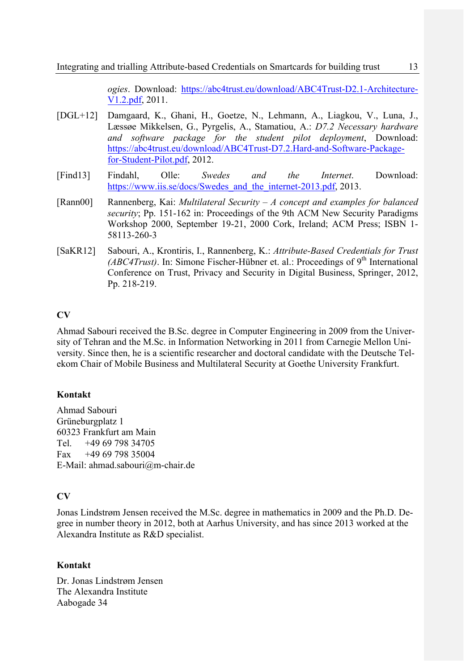*ogies*. Download: https://abc4trust.eu/download/ABC4Trust-D2.1-Architecture-V1.2.pdf, 2011.

- [DGL+12] Damgaard, K., Ghani, H., Goetze, N., Lehmann, A., Liagkou, V., Luna, J., Læssøe Mikkelsen, G., Pyrgelis, A., Stamatiou, A.: *D7.2 Necessary hardware and software package for the student pilot deployment*, Download: https://abc4trust.eu/download/ABC4Trust-D7.2.Hard-and-Software-Packagefor-Student-Pilot.pdf, 2012.
- [Find13] Findahl, Olle: *Swedes and the Internet*. Download: https://www.iis.se/docs/Swedes\_and\_the\_internet-2013.pdf, 2013.
- [Rann00] Rannenberg, Kai: *Multilateral Security – A concept and examples for balanced security*; Pp. 151-162 in: Proceedings of the 9th ACM New Security Paradigms Workshop 2000, September 19-21, 2000 Cork, Ireland; ACM Press; ISBN 1- 58113-260-3
- [SaKR12] Sabouri, A., Krontiris, I., Rannenberg, K.: *Attribute-Based Credentials for Trust (ABC4Trust)*. In: Simone Fischer-Hübner et. al.: Proceedings of  $9<sup>th</sup>$  International Conference on Trust, Privacy and Security in Digital Business, Springer, 2012, Pp. 218-219.

### **CV**

Ahmad Sabouri received the B.Sc. degree in Computer Engineering in 2009 from the University of Tehran and the M.Sc. in Information Networking in 2011 from Carnegie Mellon University. Since then, he is a scientific researcher and doctoral candidate with the Deutsche Telekom Chair of Mobile Business and Multilateral Security at Goethe University Frankfurt.

#### **Kontakt**

Ahmad Sabouri Grüneburgplatz 1 60323 Frankfurt am Main Tel. +49 69 798 34705 Fax +49 69 798 35004 E-Mail: ahmad.sabouri@m-chair.de

#### **CV**

Jonas Lindstrøm Jensen received the M.Sc. degree in mathematics in 2009 and the Ph.D. Degree in number theory in 2012, both at Aarhus University, and has since 2013 worked at the Alexandra Institute as R&D specialist.

#### **Kontakt**

Dr. Jonas Lindstrøm Jensen The Alexandra Institute Aabogade 34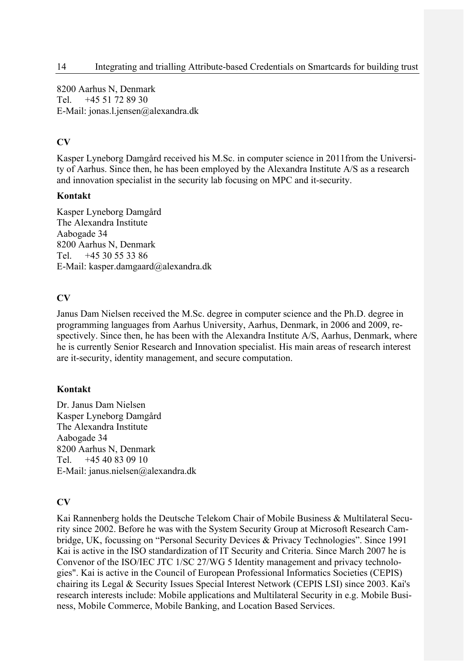8200 Aarhus N, Denmark Tel. +45 51 72 89 30 E-Mail: jonas.l.jensen@alexandra.dk

### **CV**

Kasper Lyneborg Damgård received his M.Sc. in computer science in 2011from the University of Aarhus. Since then, he has been employed by the Alexandra Institute A/S as a research and innovation specialist in the security lab focusing on MPC and it-security.

#### **Kontakt**

Kasper Lyneborg Damgård The Alexandra Institute Aabogade 34 8200 Aarhus N, Denmark Tel. +45 30 55 33 86 E-Mail: kasper.damgaard@alexandra.dk

### **CV**

Janus Dam Nielsen received the M.Sc. degree in computer science and the Ph.D. degree in programming languages from Aarhus University, Aarhus, Denmark, in 2006 and 2009, respectively. Since then, he has been with the Alexandra Institute A/S, Aarhus, Denmark, where he is currently Senior Research and Innovation specialist. His main areas of research interest are it-security, identity management, and secure computation.

### **Kontakt**

Dr. Janus Dam Nielsen Kasper Lyneborg Damgård The Alexandra Institute Aabogade 34 8200 Aarhus N, Denmark Tel. +45 40 83 09 10 E-Mail: janus.nielsen@alexandra.dk

### **CV**

Kai Rannenberg holds the Deutsche Telekom Chair of Mobile Business & Multilateral Security since 2002. Before he was with the System Security Group at Microsoft Research Cambridge, UK, focussing on "Personal Security Devices & Privacy Technologies". Since 1991 Kai is active in the ISO standardization of IT Security and Criteria. Since March 2007 he is Convenor of the ISO/IEC JTC 1/SC 27/WG 5 Identity management and privacy technologies". Kai is active in the Council of European Professional Informatics Societies (CEPIS) chairing its Legal & Security Issues Special Interest Network (CEPIS LSI) since 2003. Kai's research interests include: Mobile applications and Multilateral Security in e.g. Mobile Business, Mobile Commerce, Mobile Banking, and Location Based Services.